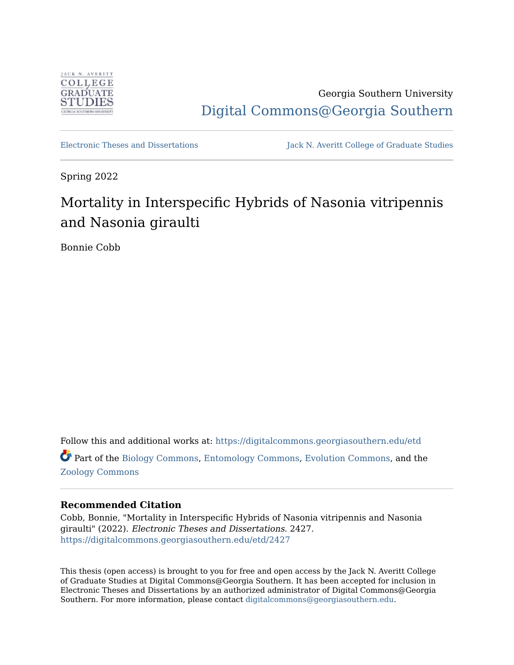

Georgia Southern University [Digital Commons@Georgia Southern](https://digitalcommons.georgiasouthern.edu/) 

[Electronic Theses and Dissertations](https://digitalcommons.georgiasouthern.edu/etd) Jack N. Averitt College of Graduate Studies

Spring 2022

# Mortality in Interspecific Hybrids of Nasonia vitripennis and Nasonia giraulti

Bonnie Cobb

Follow this and additional works at: [https://digitalcommons.georgiasouthern.edu/etd](https://digitalcommons.georgiasouthern.edu/etd?utm_source=digitalcommons.georgiasouthern.edu%2Fetd%2F2427&utm_medium=PDF&utm_campaign=PDFCoverPages)  Part of the [Biology Commons,](https://network.bepress.com/hgg/discipline/41?utm_source=digitalcommons.georgiasouthern.edu%2Fetd%2F2427&utm_medium=PDF&utm_campaign=PDFCoverPages) [Entomology Commons,](https://network.bepress.com/hgg/discipline/83?utm_source=digitalcommons.georgiasouthern.edu%2Fetd%2F2427&utm_medium=PDF&utm_campaign=PDFCoverPages) [Evolution Commons,](https://network.bepress.com/hgg/discipline/18?utm_source=digitalcommons.georgiasouthern.edu%2Fetd%2F2427&utm_medium=PDF&utm_campaign=PDFCoverPages) and the [Zoology Commons](https://network.bepress.com/hgg/discipline/81?utm_source=digitalcommons.georgiasouthern.edu%2Fetd%2F2427&utm_medium=PDF&utm_campaign=PDFCoverPages) 

# **Recommended Citation**

Cobb, Bonnie, "Mortality in Interspecific Hybrids of Nasonia vitripennis and Nasonia giraulti" (2022). Electronic Theses and Dissertations. 2427. [https://digitalcommons.georgiasouthern.edu/etd/2427](https://digitalcommons.georgiasouthern.edu/etd/2427?utm_source=digitalcommons.georgiasouthern.edu%2Fetd%2F2427&utm_medium=PDF&utm_campaign=PDFCoverPages) 

This thesis (open access) is brought to you for free and open access by the Jack N. Averitt College of Graduate Studies at Digital Commons@Georgia Southern. It has been accepted for inclusion in Electronic Theses and Dissertations by an authorized administrator of Digital Commons@Georgia Southern. For more information, please contact [digitalcommons@georgiasouthern.edu](mailto:digitalcommons@georgiasouthern.edu).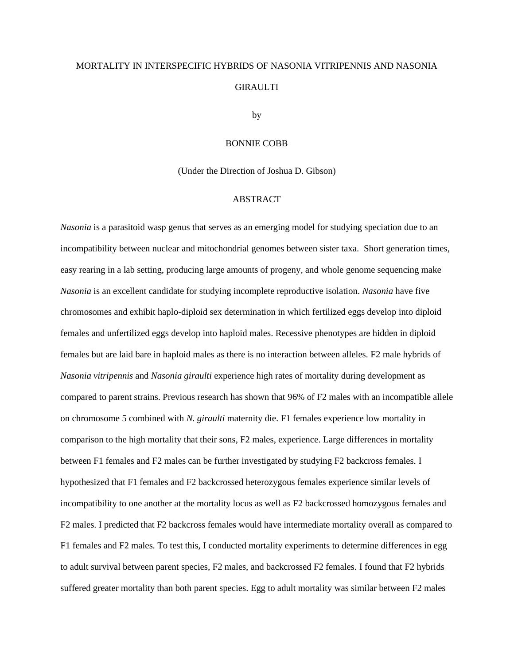# MORTALITY IN INTERSPECIFIC HYBRIDS OF NASONIA VITRIPENNIS AND NASONIA **GIRAULTI**

by

## BONNIE COBB

(Under the Direction of Joshua D. Gibson)

## ABSTRACT

*Nasonia* is a parasitoid wasp genus that serves as an emerging model for studying speciation due to an incompatibility between nuclear and mitochondrial genomes between sister taxa. Short generation times, easy rearing in a lab setting, producing large amounts of progeny, and whole genome sequencing make *Nasonia* is an excellent candidate for studying incomplete reproductive isolation. *Nasonia* have five chromosomes and exhibit haplo-diploid sex determination in which fertilized eggs develop into diploid females and unfertilized eggs develop into haploid males. Recessive phenotypes are hidden in diploid females but are laid bare in haploid males as there is no interaction between alleles. F2 male hybrids of *Nasonia vitripennis* and *Nasonia giraulti* experience high rates of mortality during development as compared to parent strains. Previous research has shown that 96% of F2 males with an incompatible allele on chromosome 5 combined with *N. giraulti* maternity die. F1 females experience low mortality in comparison to the high mortality that their sons, F2 males, experience. Large differences in mortality between F1 females and F2 males can be further investigated by studying F2 backcross females. I hypothesized that F1 females and F2 backcrossed heterozygous females experience similar levels of incompatibility to one another at the mortality locus as well as F2 backcrossed homozygous females and F2 males. I predicted that F2 backcross females would have intermediate mortality overall as compared to F1 females and F2 males. To test this, I conducted mortality experiments to determine differences in egg to adult survival between parent species, F2 males, and backcrossed F2 females. I found that F2 hybrids suffered greater mortality than both parent species. Egg to adult mortality was similar between F2 males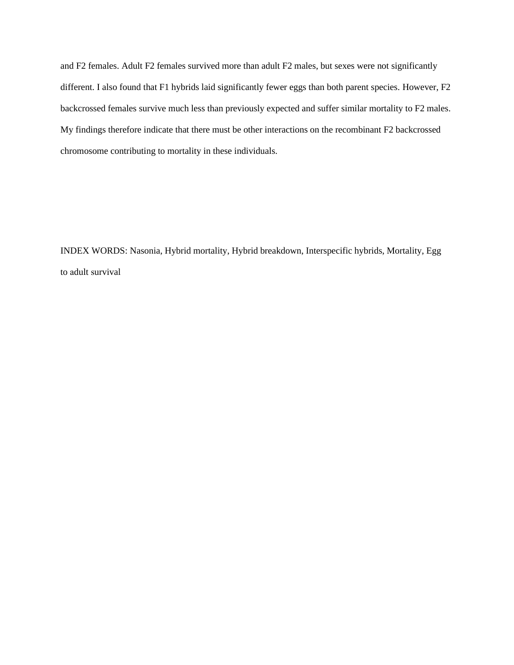and F2 females. Adult F2 females survived more than adult F2 males, but sexes were not significantly different. I also found that F1 hybrids laid significantly fewer eggs than both parent species. However, F2 backcrossed females survive much less than previously expected and suffer similar mortality to F2 males. My findings therefore indicate that there must be other interactions on the recombinant F2 backcrossed chromosome contributing to mortality in these individuals.

INDEX WORDS: Nasonia, Hybrid mortality, Hybrid breakdown, Interspecific hybrids, Mortality, Egg to adult survival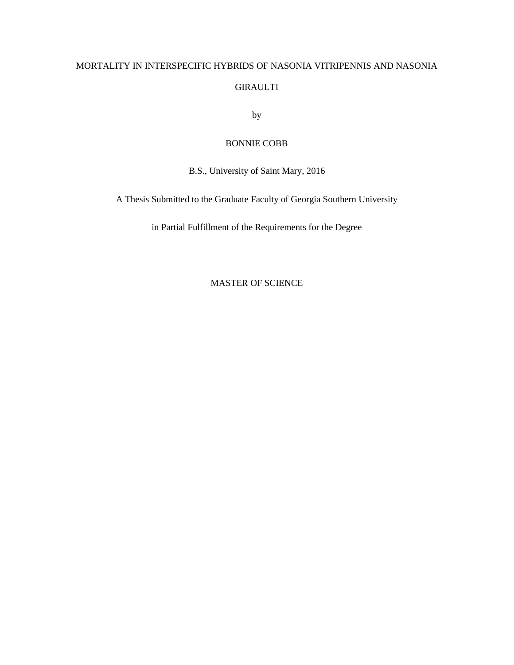# MORTALITY IN INTERSPECIFIC HYBRIDS OF NASONIA VITRIPENNIS AND NASONIA GIRAULTI

by

# BONNIE COBB

B.S., University of Saint Mary, 2016

A Thesis Submitted to the Graduate Faculty of Georgia Southern University

in Partial Fulfillment of the Requirements for the Degree

MASTER OF SCIENCE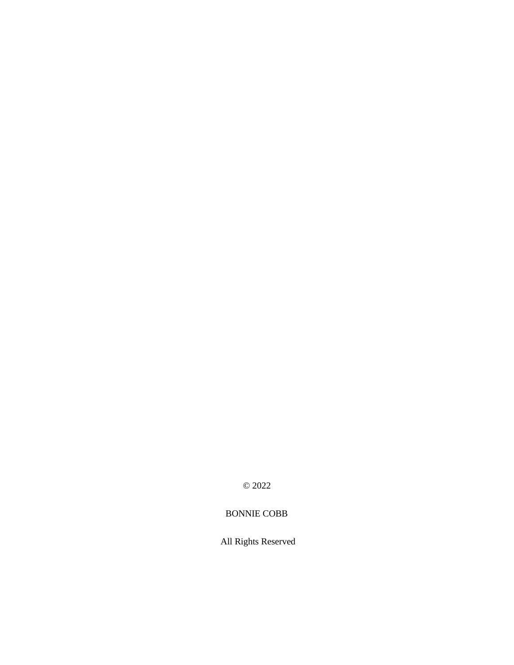© 2022

# BONNIE COBB

All Rights Reserved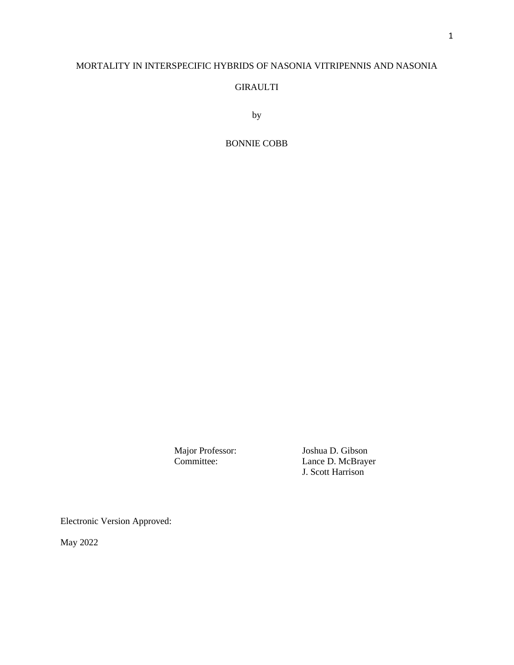# MORTALITY IN INTERSPECIFIC HYBRIDS OF NASONIA VITRIPENNIS AND NASONIA

## GIRAULTI

by

## BONNIE COBB

Major Professor: Joshua D. Gibson<br>Committee: Lance D. McBraye Lance D. McBrayer J. Scott Harrison

Electronic Version Approved:

May 2022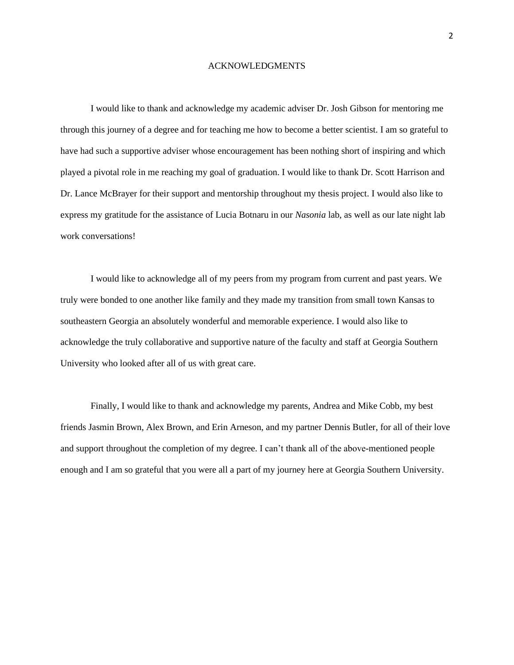#### ACKNOWLEDGMENTS

I would like to thank and acknowledge my academic adviser Dr. Josh Gibson for mentoring me through this journey of a degree and for teaching me how to become a better scientist. I am so grateful to have had such a supportive adviser whose encouragement has been nothing short of inspiring and which played a pivotal role in me reaching my goal of graduation. I would like to thank Dr. Scott Harrison and Dr. Lance McBrayer for their support and mentorship throughout my thesis project. I would also like to express my gratitude for the assistance of Lucia Botnaru in our *Nasonia* lab, as well as our late night lab work conversations!

I would like to acknowledge all of my peers from my program from current and past years. We truly were bonded to one another like family and they made my transition from small town Kansas to southeastern Georgia an absolutely wonderful and memorable experience. I would also like to acknowledge the truly collaborative and supportive nature of the faculty and staff at Georgia Southern University who looked after all of us with great care.

Finally, I would like to thank and acknowledge my parents, Andrea and Mike Cobb, my best friends Jasmin Brown, Alex Brown, and Erin Arneson, and my partner Dennis Butler, for all of their love and support throughout the completion of my degree. I can't thank all of the above-mentioned people enough and I am so grateful that you were all a part of my journey here at Georgia Southern University.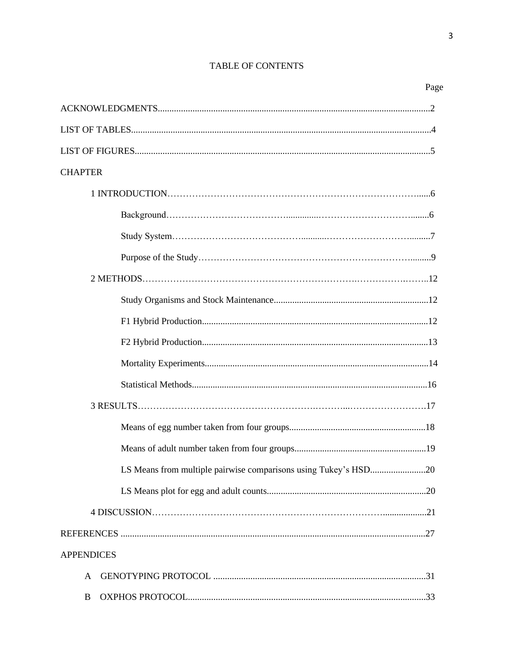# TABLE OF CONTENTS

# Page

| <b>CHAPTER</b>                                                  |
|-----------------------------------------------------------------|
|                                                                 |
|                                                                 |
|                                                                 |
|                                                                 |
|                                                                 |
|                                                                 |
|                                                                 |
|                                                                 |
|                                                                 |
|                                                                 |
|                                                                 |
|                                                                 |
|                                                                 |
| LS Means from multiple pairwise comparisons using Tukey's HSD20 |
|                                                                 |
|                                                                 |
|                                                                 |
| <b>APPENDICES</b>                                               |
| A                                                               |
|                                                                 |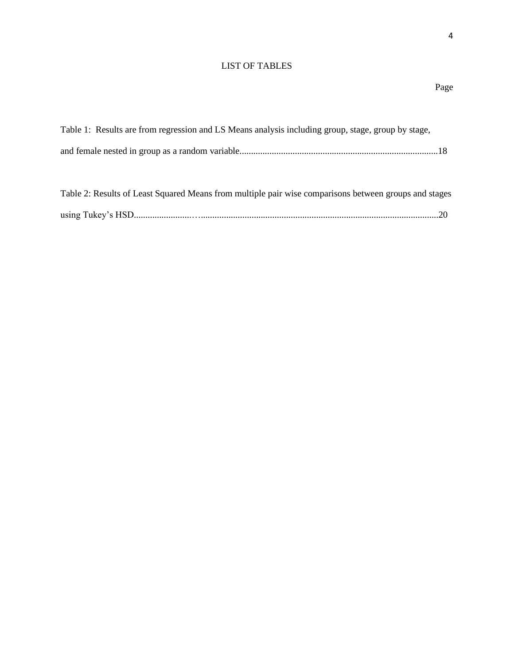# LIST OF TABLES

| Table 1: Results are from regression and LS Means analysis including group, stage, group by stage,    |  |
|-------------------------------------------------------------------------------------------------------|--|
|                                                                                                       |  |
|                                                                                                       |  |
| Table 2: Results of Least Squared Means from multiple pair wise comparisons between groups and stages |  |
|                                                                                                       |  |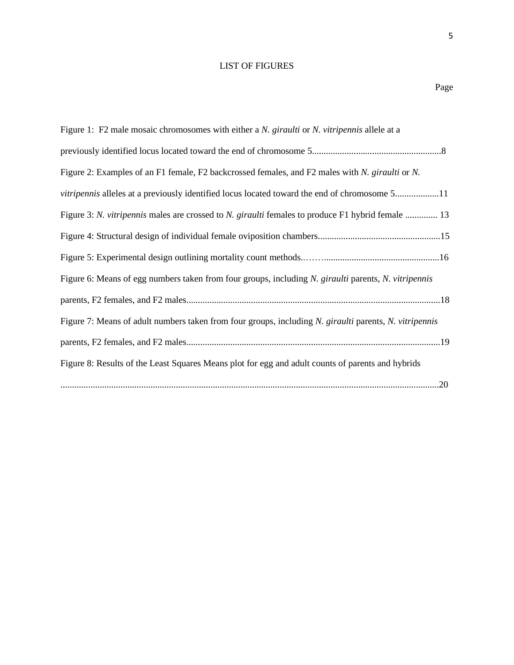# LIST OF FIGURES

5

| Figure 1: F2 male mosaic chromosomes with either a N. giraulti or N. vitripennis allele at a           |
|--------------------------------------------------------------------------------------------------------|
|                                                                                                        |
| Figure 2: Examples of an F1 female, F2 backcrossed females, and F2 males with N. giraulti or N.        |
| <i>vitripennis</i> alleles at a previously identified locus located toward the end of chromosome 511   |
| Figure 3: N. vitripennis males are crossed to N. giraulti females to produce F1 hybrid female  13      |
|                                                                                                        |
|                                                                                                        |
| Figure 6: Means of egg numbers taken from four groups, including N. giraulti parents, N. vitripennis   |
|                                                                                                        |
| Figure 7: Means of adult numbers taken from four groups, including N. giraulti parents, N. vitripennis |
|                                                                                                        |
| Figure 8: Results of the Least Squares Means plot for egg and adult counts of parents and hybrids      |
|                                                                                                        |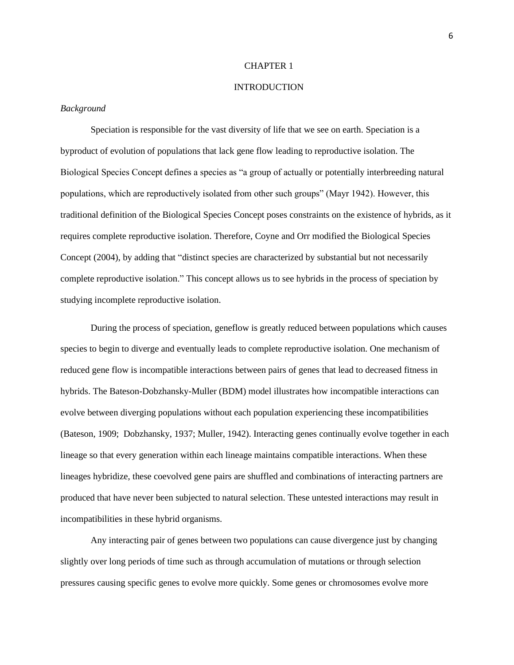#### CHAPTER 1

## INTRODUCTION

#### *Background*

Speciation is responsible for the vast diversity of life that we see on earth. Speciation is a byproduct of evolution of populations that lack gene flow leading to reproductive isolation. The Biological Species Concept defines a species as "a group of actually or potentially interbreeding natural populations, which are reproductively isolated from other such groups" (Mayr 1942). However, this traditional definition of the Biological Species Concept poses constraints on the existence of hybrids, as it requires complete reproductive isolation. Therefore, Coyne and Orr modified the Biological Species Concept (2004), by adding that "distinct species are characterized by substantial but not necessarily complete reproductive isolation." This concept allows us to see hybrids in the process of speciation by studying incomplete reproductive isolation.

During the process of speciation, geneflow is greatly reduced between populations which causes species to begin to diverge and eventually leads to complete reproductive isolation. One mechanism of reduced gene flow is incompatible interactions between pairs of genes that lead to decreased fitness in hybrids. The Bateson-Dobzhansky-Muller (BDM) model illustrates how incompatible interactions can evolve between diverging populations without each population experiencing these incompatibilities (Bateson, 1909; Dobzhansky, 1937; Muller, 1942). Interacting genes continually evolve together in each lineage so that every generation within each lineage maintains compatible interactions. When these lineages hybridize, these coevolved gene pairs are shuffled and combinations of interacting partners are produced that have never been subjected to natural selection. These untested interactions may result in incompatibilities in these hybrid organisms.

Any interacting pair of genes between two populations can cause divergence just by changing slightly over long periods of time such as through accumulation of mutations or through selection pressures causing specific genes to evolve more quickly. Some genes or chromosomes evolve more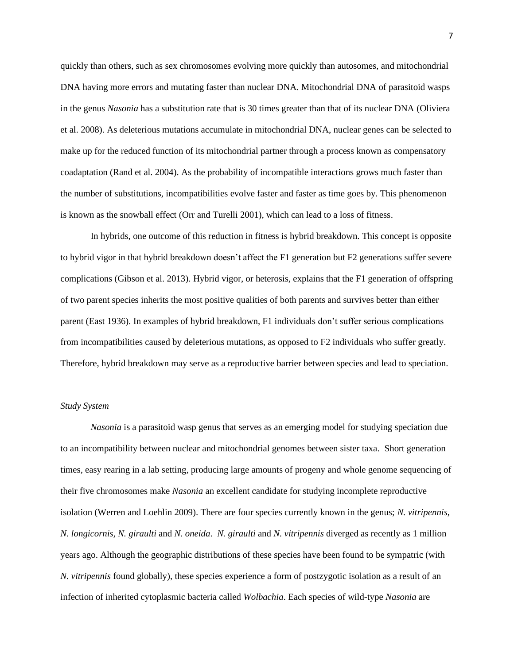quickly than others, such as sex chromosomes evolving more quickly than autosomes, and mitochondrial DNA having more errors and mutating faster than nuclear DNA. Mitochondrial DNA of parasitoid wasps in the genus *Nasonia* has a substitution rate that is 30 times greater than that of its nuclear DNA (Oliviera et al. 2008). As deleterious mutations accumulate in mitochondrial DNA, nuclear genes can be selected to make up for the reduced function of its mitochondrial partner through a process known as compensatory coadaptation (Rand et al. 2004). As the probability of incompatible interactions grows much faster than the number of substitutions, incompatibilities evolve faster and faster as time goes by. This phenomenon is known as the snowball effect (Orr and Turelli 2001), which can lead to a loss of fitness.

In hybrids, one outcome of this reduction in fitness is hybrid breakdown. This concept is opposite to hybrid vigor in that hybrid breakdown doesn't affect the F1 generation but F2 generations suffer severe complications (Gibson et al. 2013). Hybrid vigor, or heterosis, explains that the F1 generation of offspring of two parent species inherits the most positive qualities of both parents and survives better than either parent (East 1936). In examples of hybrid breakdown, F1 individuals don't suffer serious complications from incompatibilities caused by deleterious mutations, as opposed to F2 individuals who suffer greatly. Therefore, hybrid breakdown may serve as a reproductive barrier between species and lead to speciation.

### *Study System*

*Nasonia* is a parasitoid wasp genus that serves as an emerging model for studying speciation due to an incompatibility between nuclear and mitochondrial genomes between sister taxa. Short generation times, easy rearing in a lab setting, producing large amounts of progeny and whole genome sequencing of their five chromosomes make *Nasonia* an excellent candidate for studying incomplete reproductive isolation (Werren and Loehlin 2009). There are four species currently known in the genus; *N. vitripennis, N. longicornis, N. giraulti* and *N. oneida*. *N. giraulti* and *N. vitripennis* diverged as recently as 1 million years ago. Although the geographic distributions of these species have been found to be sympatric (with *N. vitripennis* found globally), these species experience a form of postzygotic isolation as a result of an infection of inherited cytoplasmic bacteria called *Wolbachia*. Each species of wild-type *Nasonia* are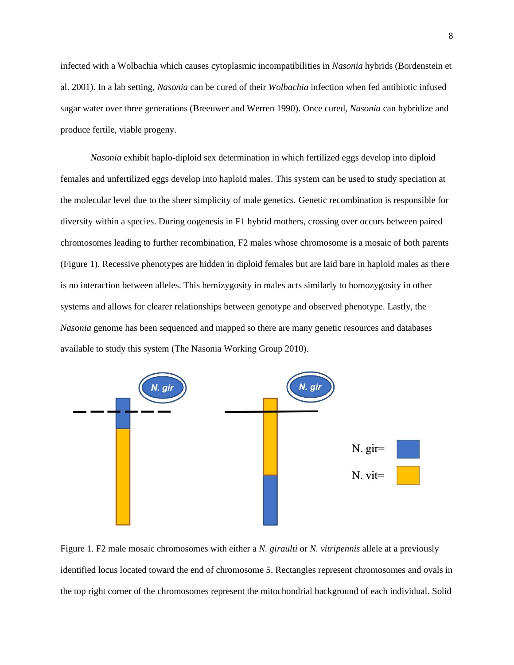infected with a Wolbachia which causes cytoplasmic incompatibilities in *Nasonia* hybrids (Bordenstein et al. 2001). In a lab setting, *Nasonia* can be cured of their *Wolbachia* infection when fed antibiotic infused sugar water over three generations (Breeuwer and Werren 1990). Once cured, *Nasonia* can hybridize and produce fertile, viable progeny.

*Nasonia* exhibit haplo-diploid sex determination in which fertilized eggs develop into diploid females and unfertilized eggs develop into haploid males. This system can be used to study speciation at the molecular level due to the sheer simplicity of male genetics. Genetic recombination is responsible for diversity within a species. During oogenesis in F1 hybrid mothers, crossing over occurs between paired chromosomes leading to further recombination, F2 males whose chromosome is a mosaic of both parents (Figure 1). Recessive phenotypes are hidden in diploid females but are laid bare in haploid males as there is no interaction between alleles. This hemizygosity in males acts similarly to homozygosity in other systems and allows for clearer relationships between genotype and observed phenotype. Lastly, the *Nasonia* genome has been sequenced and mapped so there are many genetic resources and databases available to study this system (The Nasonia Working Group 2010).



Figure 1. F2 male mosaic chromosomes with either a *N. giraulti* or *N. vitripennis* allele at a previously identified locus located toward the end of chromosome 5. Rectangles represent chromosomes and ovals in the top right corner of the chromosomes represent the mitochondrial background of each individual. Solid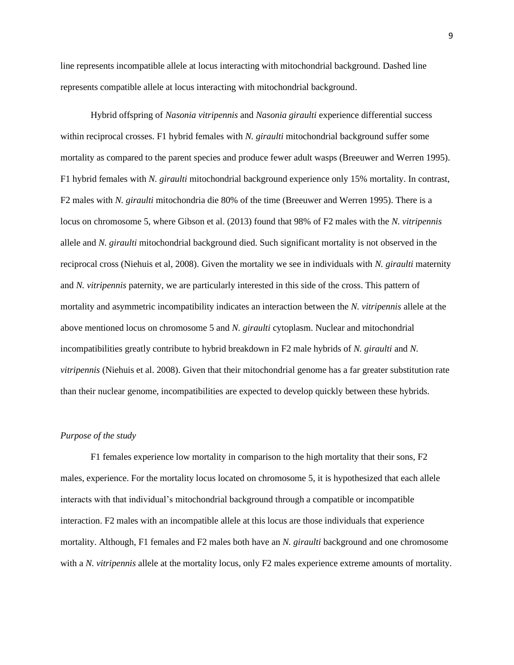line represents incompatible allele at locus interacting with mitochondrial background. Dashed line represents compatible allele at locus interacting with mitochondrial background.

Hybrid offspring of *Nasonia vitripennis* and *Nasonia giraulti* experience differential success within reciprocal crosses. F1 hybrid females with *N. giraulti* mitochondrial background suffer some mortality as compared to the parent species and produce fewer adult wasps (Breeuwer and Werren 1995). F1 hybrid females with *N. giraulti* mitochondrial background experience only 15% mortality. In contrast, F2 males with *N. giraulti* mitochondria die 80% of the time (Breeuwer and Werren 1995). There is a locus on chromosome 5, where Gibson et al. (2013) found that 98% of F2 males with the *N. vitripennis* allele and *N. giraulti* mitochondrial background died. Such significant mortality is not observed in the reciprocal cross (Niehuis et al, 2008). Given the mortality we see in individuals with *N. giraulti* maternity and *N. vitripennis* paternity, we are particularly interested in this side of the cross. This pattern of mortality and asymmetric incompatibility indicates an interaction between the *N. vitripennis* allele at the above mentioned locus on chromosome 5 and *N. giraulti* cytoplasm. Nuclear and mitochondrial incompatibilities greatly contribute to hybrid breakdown in F2 male hybrids of *N. giraulti* and *N. vitripennis* (Niehuis et al. 2008). Given that their mitochondrial genome has a far greater substitution rate than their nuclear genome, incompatibilities are expected to develop quickly between these hybrids.

## *Purpose of the study*

F1 females experience low mortality in comparison to the high mortality that their sons, F2 males, experience. For the mortality locus located on chromosome 5, it is hypothesized that each allele interacts with that individual's mitochondrial background through a compatible or incompatible interaction. F2 males with an incompatible allele at this locus are those individuals that experience mortality. Although, F1 females and F2 males both have an *N. giraulti* background and one chromosome with a *N. vitripennis* allele at the mortality locus, only F2 males experience extreme amounts of mortality.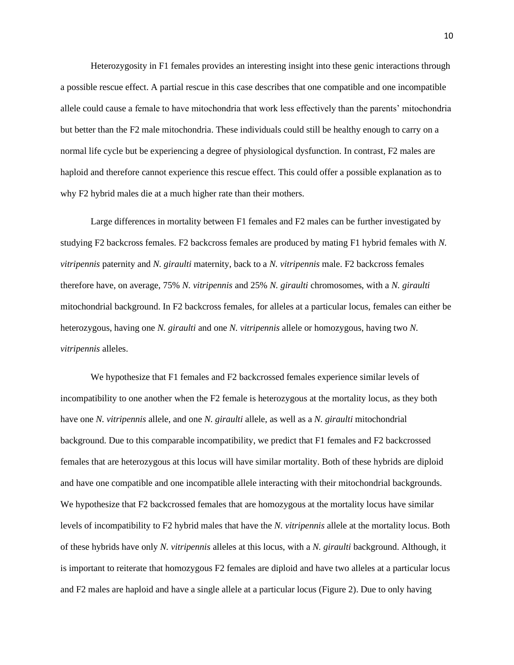Heterozygosity in F1 females provides an interesting insight into these genic interactions through a possible rescue effect. A partial rescue in this case describes that one compatible and one incompatible allele could cause a female to have mitochondria that work less effectively than the parents' mitochondria but better than the F2 male mitochondria. These individuals could still be healthy enough to carry on a normal life cycle but be experiencing a degree of physiological dysfunction. In contrast, F2 males are haploid and therefore cannot experience this rescue effect. This could offer a possible explanation as to why F2 hybrid males die at a much higher rate than their mothers.

Large differences in mortality between F1 females and F2 males can be further investigated by studying F2 backcross females. F2 backcross females are produced by mating F1 hybrid females with *N. vitripennis* paternity and *N. giraulti* maternity, back to a *N. vitripennis* male. F2 backcross females therefore have, on average, 75% *N. vitripennis* and 25% *N. giraulti* chromosomes, with a *N. giraulti* mitochondrial background. In F2 backcross females, for alleles at a particular locus, females can either be heterozygous, having one *N. giraulti* and one *N. vitripennis* allele or homozygous, having two *N. vitripennis* alleles.

We hypothesize that F1 females and F2 backcrossed females experience similar levels of incompatibility to one another when the F2 female is heterozygous at the mortality locus, as they both have one *N. vitripennis* allele, and one *N. giraulti* allele, as well as a *N. giraulti* mitochondrial background. Due to this comparable incompatibility, we predict that F1 females and F2 backcrossed females that are heterozygous at this locus will have similar mortality. Both of these hybrids are diploid and have one compatible and one incompatible allele interacting with their mitochondrial backgrounds. We hypothesize that F2 backcrossed females that are homozygous at the mortality locus have similar levels of incompatibility to F2 hybrid males that have the *N. vitripennis* allele at the mortality locus. Both of these hybrids have only *N. vitripennis* alleles at this locus, with a *N. giraulti* background. Although, it is important to reiterate that homozygous F2 females are diploid and have two alleles at a particular locus and F2 males are haploid and have a single allele at a particular locus (Figure 2). Due to only having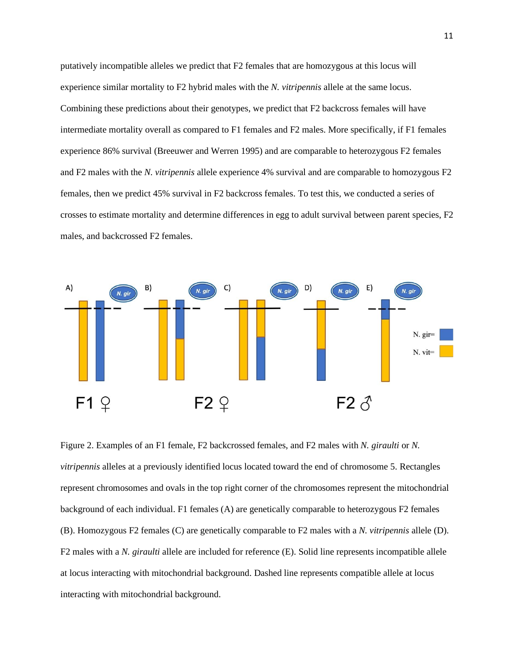putatively incompatible alleles we predict that F2 females that are homozygous at this locus will experience similar mortality to F2 hybrid males with the *N. vitripennis* allele at the same locus. Combining these predictions about their genotypes, we predict that F2 backcross females will have intermediate mortality overall as compared to F1 females and F2 males. More specifically, if F1 females experience 86% survival (Breeuwer and Werren 1995) and are comparable to heterozygous F2 females and F2 males with the *N. vitripennis* allele experience 4% survival and are comparable to homozygous F2 females, then we predict 45% survival in F2 backcross females. To test this, we conducted a series of crosses to estimate mortality and determine differences in egg to adult survival between parent species, F2 males, and backcrossed F2 females.



Figure 2. Examples of an F1 female, F2 backcrossed females, and F2 males with *N. giraulti* or *N. vitripennis* alleles at a previously identified locus located toward the end of chromosome 5. Rectangles represent chromosomes and ovals in the top right corner of the chromosomes represent the mitochondrial background of each individual. F1 females (A) are genetically comparable to heterozygous F2 females (B). Homozygous F2 females (C) are genetically comparable to F2 males with a *N. vitripennis* allele (D). F2 males with a *N. giraulti* allele are included for reference (E). Solid line represents incompatible allele at locus interacting with mitochondrial background. Dashed line represents compatible allele at locus interacting with mitochondrial background.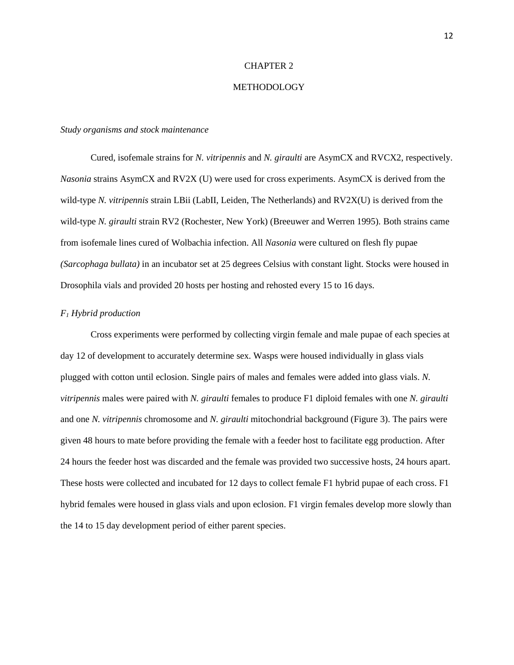#### CHAPTER 2

## METHODOLOGY

#### *Study organisms and stock maintenance*

Cured, isofemale strains for *N. vitripennis* and *N. giraulti* are AsymCX and RVCX2, respectively. *Nasonia* strains AsymCX and RV2X (U) were used for cross experiments. AsymCX is derived from the wild-type *N. vitripennis* strain LBii (LabII, Leiden, The Netherlands) and RV2X(U) is derived from the wild-type *N. giraulti* strain RV2 (Rochester, New York) (Breeuwer and Werren 1995)*.* Both strains came from isofemale lines cured of Wolbachia infection. All *Nasonia* were cultured on flesh fly pupae *(Sarcophaga bullata)* in an incubator set at 25 degrees Celsius with constant light. Stocks were housed in Drosophila vials and provided 20 hosts per hosting and rehosted every 15 to 16 days.

#### *F<sup>1</sup> Hybrid production*

Cross experiments were performed by collecting virgin female and male pupae of each species at day 12 of development to accurately determine sex. Wasps were housed individually in glass vials plugged with cotton until eclosion. Single pairs of males and females were added into glass vials. *N. vitripennis* males were paired with *N. giraulti* females to produce F1 diploid females with one *N. giraulti*  and one *N. vitripennis* chromosome and *N. giraulti* mitochondrial background (Figure 3). The pairs were given 48 hours to mate before providing the female with a feeder host to facilitate egg production. After 24 hours the feeder host was discarded and the female was provided two successive hosts, 24 hours apart. These hosts were collected and incubated for 12 days to collect female F1 hybrid pupae of each cross. F1 hybrid females were housed in glass vials and upon eclosion. F1 virgin females develop more slowly than the 14 to 15 day development period of either parent species.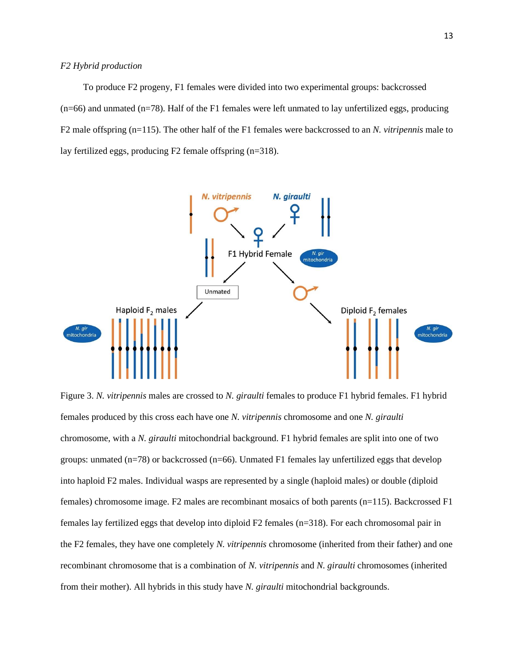#### *F2 Hybrid production*

To produce F2 progeny, F1 females were divided into two experimental groups: backcrossed  $(n=66)$  and unmated  $(n=78)$ . Half of the F1 females were left unmated to lay unfertilized eggs, producing F2 male offspring (n=115). The other half of the F1 females were backcrossed to an *N. vitripennis* male to lay fertilized eggs, producing F2 female offspring (n=318).



Figure 3. *N. vitripennis* males are crossed to *N. giraulti* females to produce F1 hybrid females. F1 hybrid females produced by this cross each have one *N. vitripennis* chromosome and one *N. giraulti*  chromosome, with a *N. giraulti* mitochondrial background. F1 hybrid females are split into one of two groups: unmated  $(n=78)$  or backcrossed  $(n=66)$ . Unmated F1 females lay unfertilized eggs that develop into haploid F2 males. Individual wasps are represented by a single (haploid males) or double (diploid females) chromosome image. F2 males are recombinant mosaics of both parents (n=115). Backcrossed F1 females lay fertilized eggs that develop into diploid F2 females (n=318). For each chromosomal pair in the F2 females, they have one completely *N. vitripennis* chromosome (inherited from their father) and one recombinant chromosome that is a combination of *N. vitripennis* and *N. giraulti* chromosomes (inherited from their mother). All hybrids in this study have *N. giraulti* mitochondrial backgrounds.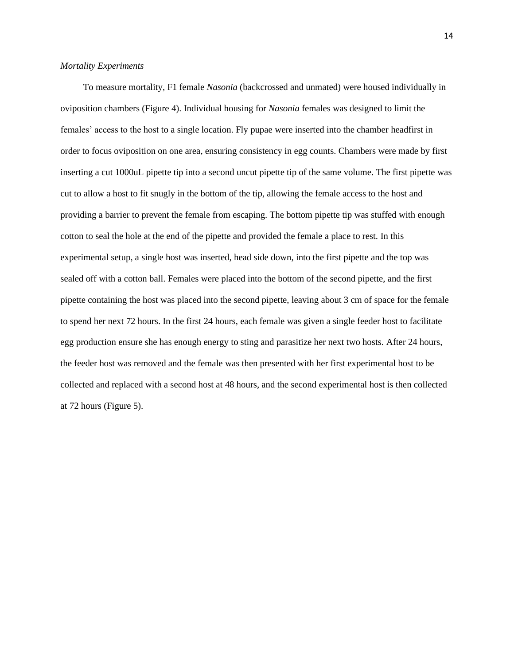## *Mortality Experiments*

To measure mortality, F1 female *Nasonia* (backcrossed and unmated) were housed individually in oviposition chambers (Figure 4). Individual housing for *Nasonia* females was designed to limit the females' access to the host to a single location. Fly pupae were inserted into the chamber headfirst in order to focus oviposition on one area, ensuring consistency in egg counts. Chambers were made by first inserting a cut 1000uL pipette tip into a second uncut pipette tip of the same volume. The first pipette was cut to allow a host to fit snugly in the bottom of the tip, allowing the female access to the host and providing a barrier to prevent the female from escaping. The bottom pipette tip was stuffed with enough cotton to seal the hole at the end of the pipette and provided the female a place to rest. In this experimental setup, a single host was inserted, head side down, into the first pipette and the top was sealed off with a cotton ball. Females were placed into the bottom of the second pipette, and the first pipette containing the host was placed into the second pipette, leaving about 3 cm of space for the female to spend her next 72 hours. In the first 24 hours, each female was given a single feeder host to facilitate egg production ensure she has enough energy to sting and parasitize her next two hosts. After 24 hours, the feeder host was removed and the female was then presented with her first experimental host to be collected and replaced with a second host at 48 hours, and the second experimental host is then collected at 72 hours (Figure 5).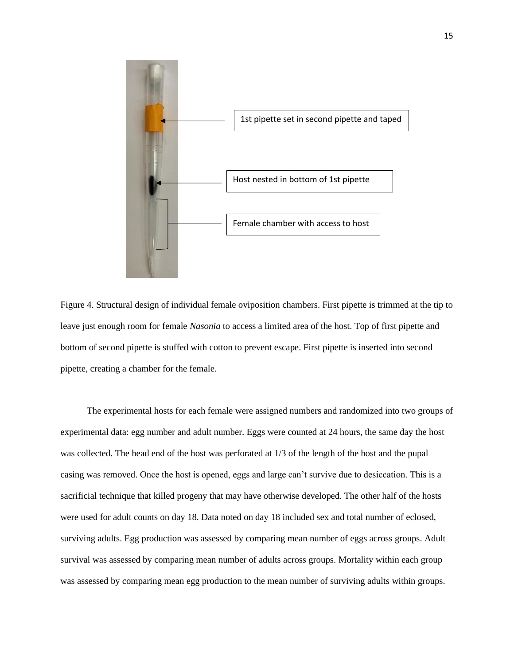

Figure 4. Structural design of individual female oviposition chambers. First pipette is trimmed at the tip to leave just enough room for female *Nasonia* to access a limited area of the host. Top of first pipette and bottom of second pipette is stuffed with cotton to prevent escape. First pipette is inserted into second pipette, creating a chamber for the female.

The experimental hosts for each female were assigned numbers and randomized into two groups of experimental data: egg number and adult number. Eggs were counted at 24 hours, the same day the host was collected. The head end of the host was perforated at 1/3 of the length of the host and the pupal casing was removed. Once the host is opened, eggs and large can't survive due to desiccation. This is a sacrificial technique that killed progeny that may have otherwise developed. The other half of the hosts were used for adult counts on day 18. Data noted on day 18 included sex and total number of eclosed, surviving adults. Egg production was assessed by comparing mean number of eggs across groups. Adult survival was assessed by comparing mean number of adults across groups. Mortality within each group was assessed by comparing mean egg production to the mean number of surviving adults within groups.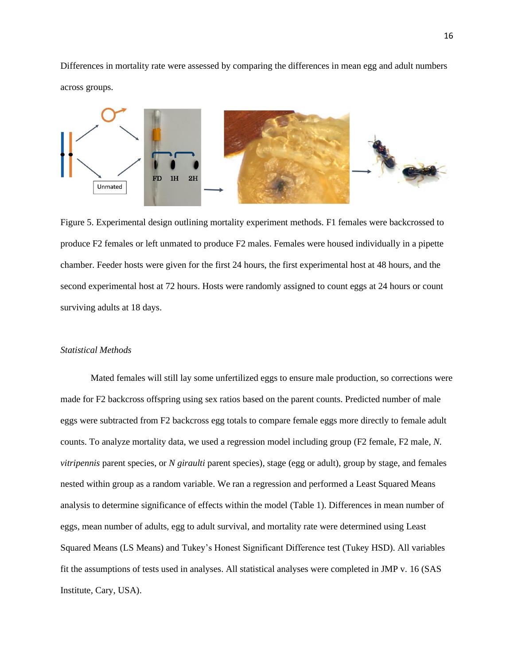Differences in mortality rate were assessed by comparing the differences in mean egg and adult numbers across groups.



Figure 5. Experimental design outlining mortality experiment methods. F1 females were backcrossed to produce F2 females or left unmated to produce F2 males. Females were housed individually in a pipette chamber. Feeder hosts were given for the first 24 hours, the first experimental host at 48 hours, and the second experimental host at 72 hours. Hosts were randomly assigned to count eggs at 24 hours or count surviving adults at 18 days.

#### *Statistical Methods*

Mated females will still lay some unfertilized eggs to ensure male production, so corrections were made for F2 backcross offspring using sex ratios based on the parent counts. Predicted number of male eggs were subtracted from F2 backcross egg totals to compare female eggs more directly to female adult counts. To analyze mortality data, we used a regression model including group (F2 female, F2 male, *N. vitripennis* parent species, or *N giraulti* parent species), stage (egg or adult), group by stage, and females nested within group as a random variable. We ran a regression and performed a Least Squared Means analysis to determine significance of effects within the model (Table 1). Differences in mean number of eggs, mean number of adults, egg to adult survival, and mortality rate were determined using Least Squared Means (LS Means) and Tukey's Honest Significant Difference test (Tukey HSD). All variables fit the assumptions of tests used in analyses. All statistical analyses were completed in JMP v. 16 (SAS Institute, Cary, USA).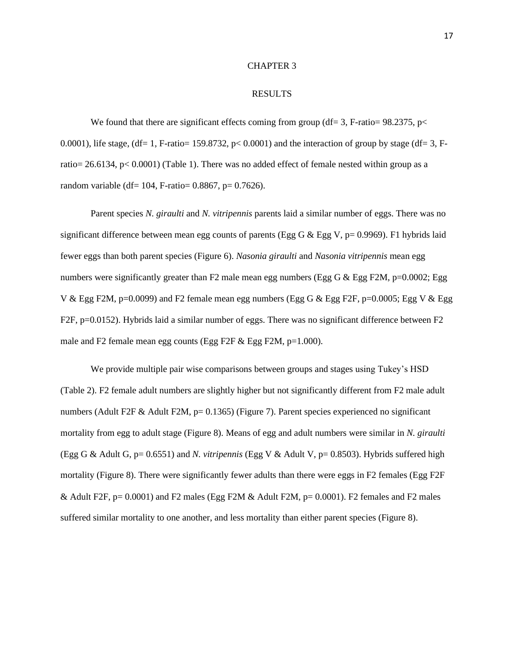#### CHAPTER 3

#### RESULTS

We found that there are significant effects coming from group (df= 3, F-ratio=  $98.2375$ , p< 0.0001), life stage, (df= 1, F-ratio= 159.8732,  $p$ < 0.0001) and the interaction of group by stage (df= 3, Fratio= 26.6134, p< 0.0001) (Table 1). There was no added effect of female nested within group as a random variable (df= 104, F-ratio=  $0.8867$ , p=  $0.7626$ ).

Parent species *N. giraulti* and *N. vitripennis* parents laid a similar number of eggs. There was no significant difference between mean egg counts of parents (Egg G & Egg V,  $p= 0.9969$ ). F1 hybrids laid fewer eggs than both parent species (Figure 6). *Nasonia giraulti* and *Nasonia vitripennis* mean egg numbers were significantly greater than F2 male mean egg numbers (Egg G  $\&$  Egg F2M, p=0.0002; Egg V & Egg F2M,  $p=0.0099$ ) and F2 female mean egg numbers (Egg G & Egg F2F,  $p=0.0005$ ; Egg V & Egg F2F, p=0.0152). Hybrids laid a similar number of eggs. There was no significant difference between F2 male and F2 female mean egg counts (Egg F2F & Egg F2M, p=1.000).

We provide multiple pair wise comparisons between groups and stages using Tukey's HSD (Table 2). F2 female adult numbers are slightly higher but not significantly different from F2 male adult numbers (Adult F2F & Adult F2M,  $p= 0.1365$ ) (Figure 7). Parent species experienced no significant mortality from egg to adult stage (Figure 8). Means of egg and adult numbers were similar in *N. giraulti* (Egg G & Adult G, p= 0.6551) and *N. vitripennis* (Egg V & Adult V, p= 0.8503). Hybrids suffered high mortality (Figure 8). There were significantly fewer adults than there were eggs in F2 females (Egg F2F & Adult F2F,  $p= 0.0001$  and F2 males (Egg F2M & Adult F2M,  $p= 0.0001$ ). F2 females and F2 males suffered similar mortality to one another, and less mortality than either parent species (Figure 8).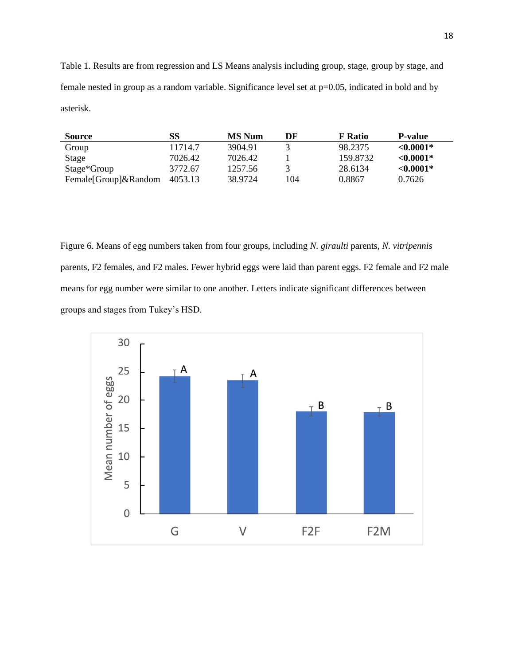Table 1. Results are from regression and LS Means analysis including group, stage, group by stage, and female nested in group as a random variable. Significance level set at p=0.05, indicated in bold and by asterisk.

| <b>Source</b>        | SS      | <b>MS Num</b> | DF  | <b>F</b> Ratio | <b>P-value</b> |
|----------------------|---------|---------------|-----|----------------|----------------|
| Group                | 11714.7 | 3904.91       |     | 98.2375        | $< 0.0001*$    |
| Stage                | 7026.42 | 7026.42       |     | 159.8732       | $< 0.0001*$    |
| Stage*Group          | 3772.67 | 1257.56       |     | 28.6134        | $< 0.0001*$    |
| Female[Group]&Random | 4053.13 | 38.9724       | 104 | 0.8867         | 0.7626         |

Figure 6. Means of egg numbers taken from four groups, including *N. giraulti* parents, *N. vitripennis*  parents, F2 females, and F2 males. Fewer hybrid eggs were laid than parent eggs. F2 female and F2 male means for egg number were similar to one another. Letters indicate significant differences between groups and stages from Tukey's HSD.

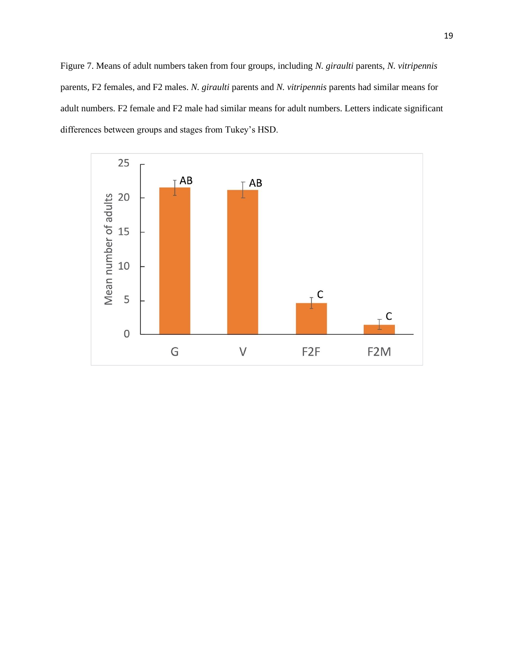Figure 7. Means of adult numbers taken from four groups, including *N. giraulti* parents, *N. vitripennis*  parents, F2 females, and F2 males. *N. giraulti* parents and *N. vitripennis* parents had similar means for adult numbers. F2 female and F2 male had similar means for adult numbers. Letters indicate significant differences between groups and stages from Tukey's HSD.

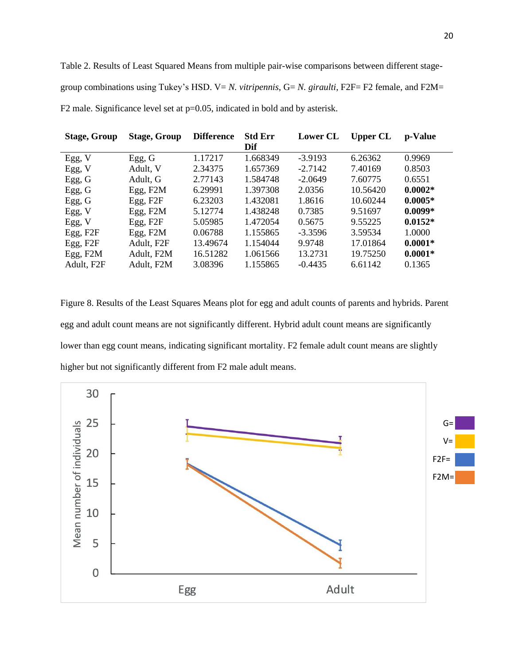Table 2. Results of Least Squared Means from multiple pair-wise comparisons between different stagegroup combinations using Tukey's HSD. V= *N. vitripennis*, G= *N. giraulti*, F2F= F2 female, and F2M= F2 male. Significance level set at  $p=0.05$ , indicated in bold and by asterisk.

| <b>Stage, Group</b>  | <b>Stage, Group</b> | <b>Difference</b> | <b>Std Err</b><br>Dif | <b>Lower CL</b> | <b>Upper CL</b> | p-Value   |
|----------------------|---------------------|-------------------|-----------------------|-----------------|-----------------|-----------|
| Egg, V               | Egg, G              | 1.17217           | 1.668349              | $-3.9193$       | 6.26362         | 0.9969    |
| Egg, V               | Adult, V            | 2.34375           | 1.657369              | $-2.7142$       | 7.40169         | 0.8503    |
| Egg, G               | Adult, G            | 2.77143           | 1.584748              | $-2.0649$       | 7.60775         | 0.6551    |
| Egg, G               | Egg, F2M            | 6.29991           | 1.397308              | 2.0356          | 10.56420        | $0.0002*$ |
| Egg, G               | Egg, F2F            | 6.23203           | 1.432081              | 1.8616          | 10.60244        | $0.0005*$ |
| Egg, V               | Egg, $F2M$          | 5.12774           | 1.438248              | 0.7385          | 9.51697         | $0.0099*$ |
| Egg, V               | Egg, F2F            | 5.05985           | 1.472054              | 0.5675          | 9.55225         | $0.0152*$ |
| Egg, F <sub>2F</sub> | Egg, F2M            | 0.06788           | 1.155865              | $-3.3596$       | 3.59534         | 1.0000    |
| Egg, F2F             | Adult, F2F          | 13.49674          | 1.154044              | 9.9748          | 17.01864        | $0.0001*$ |
| Egg, F2M             | Adult, F2M          | 16.51282          | 1.061566              | 13.2731         | 19.75250        | $0.0001*$ |
| Adult, F2F           | Adult, F2M          | 3.08396           | 1.155865              | $-0.4435$       | 6.61142         | 0.1365    |

Figure 8. Results of the Least Squares Means plot for egg and adult counts of parents and hybrids. Parent egg and adult count means are not significantly different. Hybrid adult count means are significantly lower than egg count means, indicating significant mortality. F2 female adult count means are slightly higher but not significantly different from F2 male adult means.

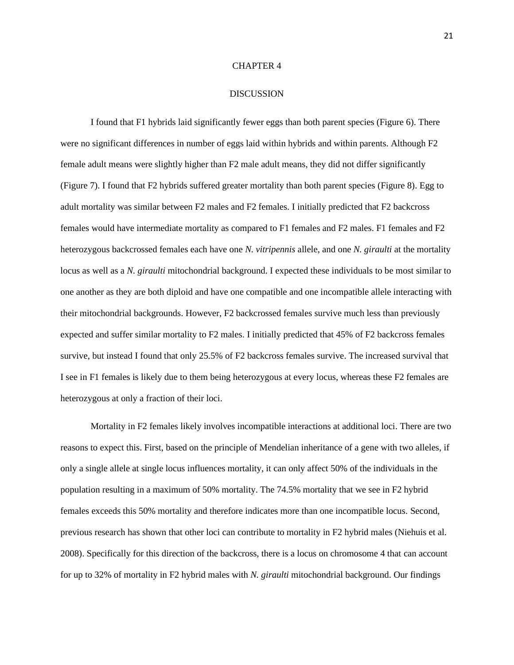#### CHAPTER 4

#### DISCUSSION

I found that F1 hybrids laid significantly fewer eggs than both parent species (Figure 6). There were no significant differences in number of eggs laid within hybrids and within parents. Although F2 female adult means were slightly higher than F2 male adult means, they did not differ significantly (Figure 7). I found that F2 hybrids suffered greater mortality than both parent species (Figure 8). Egg to adult mortality was similar between F2 males and F2 females. I initially predicted that F2 backcross females would have intermediate mortality as compared to F1 females and F2 males. F1 females and F2 heterozygous backcrossed females each have one *N. vitripennis* allele, and one *N. giraulti* at the mortality locus as well as a *N. giraulti* mitochondrial background. I expected these individuals to be most similar to one another as they are both diploid and have one compatible and one incompatible allele interacting with their mitochondrial backgrounds. However, F2 backcrossed females survive much less than previously expected and suffer similar mortality to F2 males. I initially predicted that 45% of F2 backcross females survive, but instead I found that only 25.5% of F2 backcross females survive. The increased survival that I see in F1 females is likely due to them being heterozygous at every locus, whereas these F2 females are heterozygous at only a fraction of their loci.

Mortality in F2 females likely involves incompatible interactions at additional loci. There are two reasons to expect this. First, based on the principle of Mendelian inheritance of a gene with two alleles, if only a single allele at single locus influences mortality, it can only affect 50% of the individuals in the population resulting in a maximum of 50% mortality. The 74.5% mortality that we see in F2 hybrid females exceeds this 50% mortality and therefore indicates more than one incompatible locus. Second, previous research has shown that other loci can contribute to mortality in F2 hybrid males (Niehuis et al. 2008). Specifically for this direction of the backcross, there is a locus on chromosome 4 that can account for up to 32% of mortality in F2 hybrid males with *N. giraulti* mitochondrial background. Our findings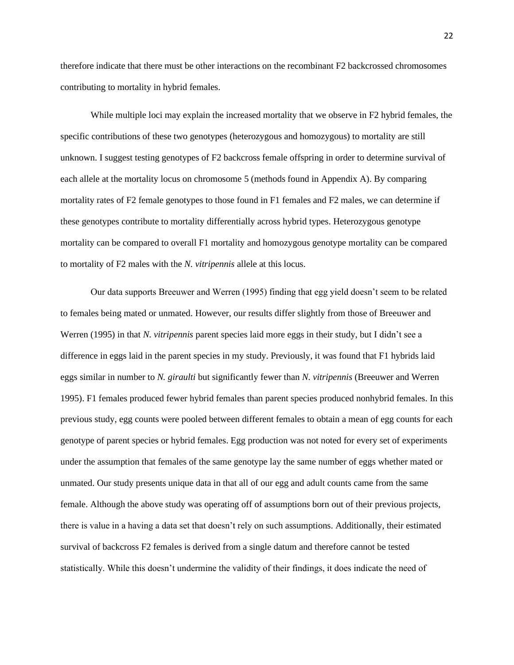therefore indicate that there must be other interactions on the recombinant F2 backcrossed chromosomes contributing to mortality in hybrid females.

While multiple loci may explain the increased mortality that we observe in F2 hybrid females, the specific contributions of these two genotypes (heterozygous and homozygous) to mortality are still unknown. I suggest testing genotypes of F2 backcross female offspring in order to determine survival of each allele at the mortality locus on chromosome 5 (methods found in Appendix A). By comparing mortality rates of F2 female genotypes to those found in F1 females and F2 males, we can determine if these genotypes contribute to mortality differentially across hybrid types. Heterozygous genotype mortality can be compared to overall F1 mortality and homozygous genotype mortality can be compared to mortality of F2 males with the *N. vitripennis* allele at this locus.

Our data supports Breeuwer and Werren (1995) finding that egg yield doesn't seem to be related to females being mated or unmated. However, our results differ slightly from those of Breeuwer and Werren (1995) in that *N. vitripennis* parent species laid more eggs in their study, but I didn't see a difference in eggs laid in the parent species in my study. Previously, it was found that F1 hybrids laid eggs similar in number to *N. giraulti* but significantly fewer than *N. vitripennis* (Breeuwer and Werren 1995). F1 females produced fewer hybrid females than parent species produced nonhybrid females. In this previous study, egg counts were pooled between different females to obtain a mean of egg counts for each genotype of parent species or hybrid females. Egg production was not noted for every set of experiments under the assumption that females of the same genotype lay the same number of eggs whether mated or unmated. Our study presents unique data in that all of our egg and adult counts came from the same female. Although the above study was operating off of assumptions born out of their previous projects, there is value in a having a data set that doesn't rely on such assumptions. Additionally, their estimated survival of backcross F2 females is derived from a single datum and therefore cannot be tested statistically. While this doesn't undermine the validity of their findings, it does indicate the need of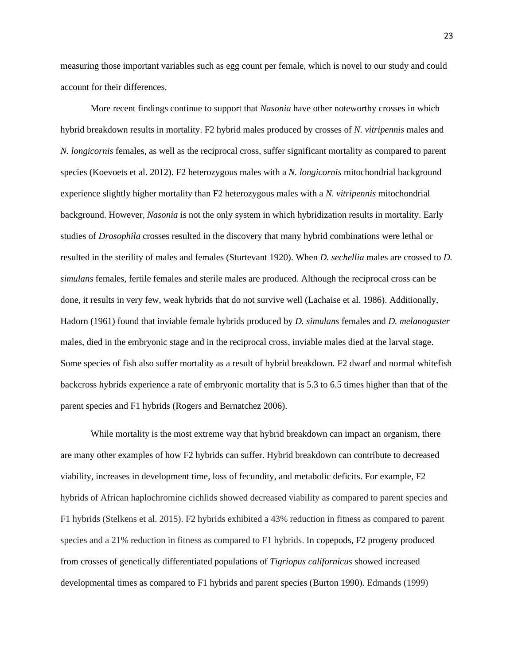measuring those important variables such as egg count per female, which is novel to our study and could account for their differences.

More recent findings continue to support that *Nasonia* have other noteworthy crosses in which hybrid breakdown results in mortality. F2 hybrid males produced by crosses of *N. vitripennis* males and *N. longicornis* females, as well as the reciprocal cross, suffer significant mortality as compared to parent species (Koevoets et al. 2012). F2 heterozygous males with a *N. longicornis* mitochondrial background experience slightly higher mortality than F2 heterozygous males with a *N. vitripennis* mitochondrial background. However*, Nasonia* is not the only system in which hybridization results in mortality. Early studies of *Drosophila* crosses resulted in the discovery that many hybrid combinations were lethal or resulted in the sterility of males and females (Sturtevant 1920). When *D. sechellia* males are crossed to *D. simulans* females, fertile females and sterile males are produced. Although the reciprocal cross can be done, it results in very few, weak hybrids that do not survive well (Lachaise et al. 1986). Additionally, Hadorn (1961) found that inviable female hybrids produced by *D. simulans* females and *D. melanogaster* males, died in the embryonic stage and in the reciprocal cross, inviable males died at the larval stage. Some species of fish also suffer mortality as a result of hybrid breakdown. F2 dwarf and normal whitefish backcross hybrids experience a rate of embryonic mortality that is 5.3 to 6.5 times higher than that of the parent species and F1 hybrids (Rogers and Bernatchez 2006).

While mortality is the most extreme way that hybrid breakdown can impact an organism, there are many other examples of how F2 hybrids can suffer. Hybrid breakdown can contribute to decreased viability, increases in development time, loss of fecundity, and metabolic deficits. For example, F2 hybrids of African haplochromine cichlids showed decreased viability as compared to parent species and F1 hybrids (Stelkens et al. 2015). F2 hybrids exhibited a 43% reduction in fitness as compared to parent species and a 21% reduction in fitness as compared to F1 hybrids. In copepods, F2 progeny produced from crosses of genetically differentiated populations of *Tigriopus californicus* showed increased developmental times as compared to F1 hybrids and parent species (Burton 1990). Edmands (1999)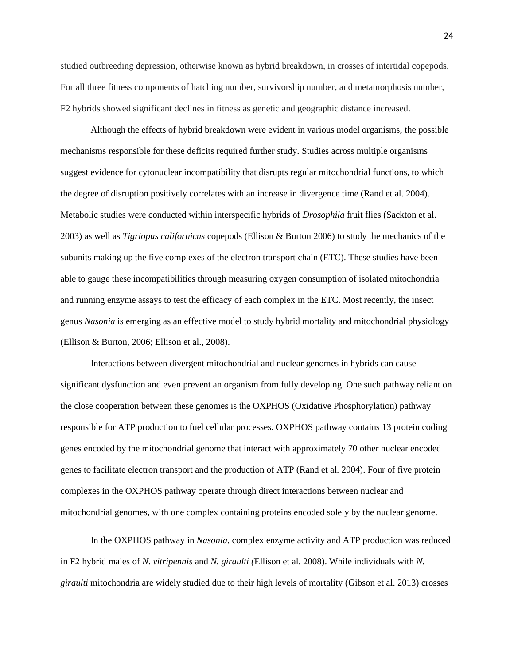studied outbreeding depression, otherwise known as hybrid breakdown, in crosses of intertidal copepods. For all three fitness components of hatching number, survivorship number, and metamorphosis number, F2 hybrids showed significant declines in fitness as genetic and geographic distance increased.

Although the effects of hybrid breakdown were evident in various model organisms, the possible mechanisms responsible for these deficits required further study. Studies across multiple organisms suggest evidence for cytonuclear incompatibility that disrupts regular mitochondrial functions, to which the degree of disruption positively correlates with an increase in divergence time (Rand et al. 2004). Metabolic studies were conducted within interspecific hybrids of *Drosophila* fruit flies (Sackton et al. 2003) as well as *Tigriopus californicus* copepods (Ellison & Burton 2006) to study the mechanics of the subunits making up the five complexes of the electron transport chain (ETC). These studies have been able to gauge these incompatibilities through measuring oxygen consumption of isolated mitochondria and running enzyme assays to test the efficacy of each complex in the ETC. Most recently, the insect genus *Nasonia* is emerging as an effective model to study hybrid mortality and mitochondrial physiology (Ellison & Burton, 2006; Ellison et al., 2008).

Interactions between divergent mitochondrial and nuclear genomes in hybrids can cause significant dysfunction and even prevent an organism from fully developing. One such pathway reliant on the close cooperation between these genomes is the OXPHOS (Oxidative Phosphorylation) pathway responsible for ATP production to fuel cellular processes. OXPHOS pathway contains 13 protein coding genes encoded by the mitochondrial genome that interact with approximately 70 other nuclear encoded genes to facilitate electron transport and the production of ATP (Rand et al. 2004). Four of five protein complexes in the OXPHOS pathway operate through direct interactions between nuclear and mitochondrial genomes, with one complex containing proteins encoded solely by the nuclear genome.

In the OXPHOS pathway in *Nasonia*, complex enzyme activity and ATP production was reduced in F2 hybrid males of *N. vitripennis* and *N. giraulti (*Ellison et al. 2008). While individuals with *N. giraulti* mitochondria are widely studied due to their high levels of mortality (Gibson et al. 2013) crosses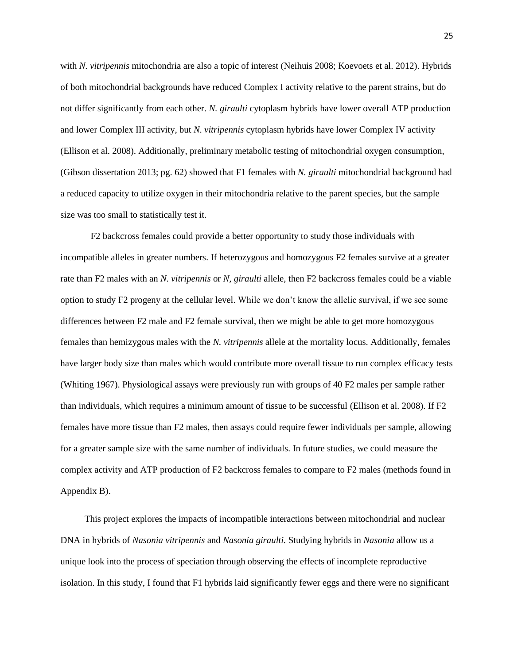with *N. vitripennis* mitochondria are also a topic of interest (Neihuis 2008; Koevoets et al. 2012). Hybrids of both mitochondrial backgrounds have reduced Complex I activity relative to the parent strains, but do not differ significantly from each other. *N. giraulti* cytoplasm hybrids have lower overall ATP production and lower Complex III activity, but *N. vitripennis* cytoplasm hybrids have lower Complex IV activity (Ellison et al. 2008). Additionally, preliminary metabolic testing of mitochondrial oxygen consumption, (Gibson dissertation 2013; pg. 62) showed that F1 females with *N. giraulti* mitochondrial background had a reduced capacity to utilize oxygen in their mitochondria relative to the parent species, but the sample size was too small to statistically test it.

F2 backcross females could provide a better opportunity to study those individuals with incompatible alleles in greater numbers. If heterozygous and homozygous F2 females survive at a greater rate than F2 males with an *N. vitripennis* or *N, giraulti* allele, then F2 backcross females could be a viable option to study F2 progeny at the cellular level. While we don't know the allelic survival, if we see some differences between F2 male and F2 female survival, then we might be able to get more homozygous females than hemizygous males with the *N. vitripennis* allele at the mortality locus. Additionally, females have larger body size than males which would contribute more overall tissue to run complex efficacy tests (Whiting 1967). Physiological assays were previously run with groups of 40 F2 males per sample rather than individuals, which requires a minimum amount of tissue to be successful (Ellison et al. 2008). If F2 females have more tissue than F2 males, then assays could require fewer individuals per sample, allowing for a greater sample size with the same number of individuals. In future studies, we could measure the complex activity and ATP production of F2 backcross females to compare to F2 males (methods found in Appendix B).

This project explores the impacts of incompatible interactions between mitochondrial and nuclear DNA in hybrids of *Nasonia vitripennis* and *Nasonia giraulti.* Studying hybrids in *Nasonia* allow us a unique look into the process of speciation through observing the effects of incomplete reproductive isolation. In this study, I found that F1 hybrids laid significantly fewer eggs and there were no significant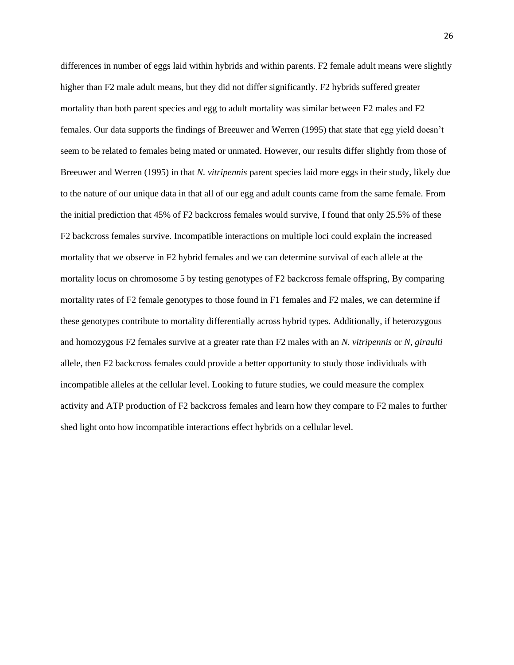differences in number of eggs laid within hybrids and within parents. F2 female adult means were slightly higher than F2 male adult means, but they did not differ significantly. F2 hybrids suffered greater mortality than both parent species and egg to adult mortality was similar between F2 males and F2 females. Our data supports the findings of Breeuwer and Werren (1995) that state that egg yield doesn't seem to be related to females being mated or unmated. However, our results differ slightly from those of Breeuwer and Werren (1995) in that *N. vitripennis* parent species laid more eggs in their study, likely due to the nature of our unique data in that all of our egg and adult counts came from the same female. From the initial prediction that 45% of F2 backcross females would survive, I found that only 25.5% of these F2 backcross females survive. Incompatible interactions on multiple loci could explain the increased mortality that we observe in F2 hybrid females and we can determine survival of each allele at the mortality locus on chromosome 5 by testing genotypes of F2 backcross female offspring, By comparing mortality rates of F2 female genotypes to those found in F1 females and F2 males, we can determine if these genotypes contribute to mortality differentially across hybrid types. Additionally, if heterozygous and homozygous F2 females survive at a greater rate than F2 males with an *N. vitripennis* or *N, giraulti* allele, then F2 backcross females could provide a better opportunity to study those individuals with incompatible alleles at the cellular level. Looking to future studies, we could measure the complex activity and ATP production of F2 backcross females and learn how they compare to F2 males to further shed light onto how incompatible interactions effect hybrids on a cellular level.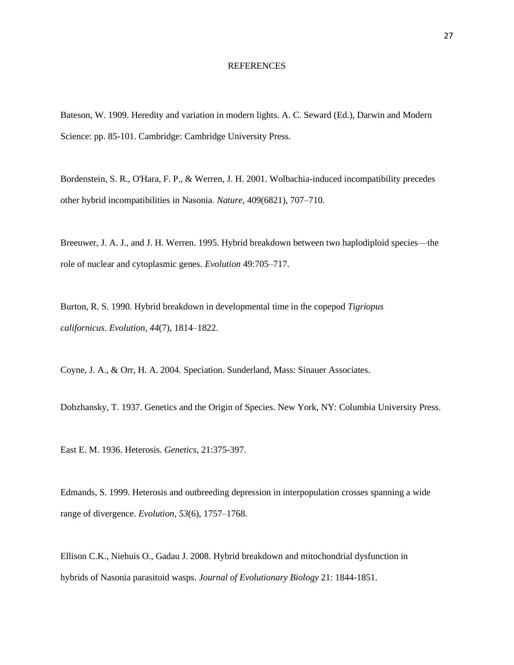#### REFERENCES

Bateson, W. 1909. Heredity and variation in modern lights. A. C. Seward (Ed.), Darwin and Modern Science: pp. 85-101. Cambridge: Cambridge University Press.

Bordenstein, S. R., O'Hara, F. P., & Werren, J. H. 2001. Wolbachia-induced incompatibility precedes other hybrid incompatibilities in Nasonia. *Nature,* 409(6821), 707–710.

Breeuwer, J. A. J., and J. H. Werren. 1995. Hybrid breakdown between two haplodiploid species—the role of nuclear and cytoplasmic genes. *Evolution* 49:705–717.

Burton, R. S. 1990. Hybrid breakdown in developmental time in the copepod *Tigriopus californicus*. *Evolution*, *44*(7), 1814–1822.

Coyne, J. A., & Orr, H. A. 2004. Speciation. Sunderland, Mass: Sinauer Associates.

Dobzhansky, T. 1937. Genetics and the Origin of Species. New York, NY: Columbia University Press.

East E. M. 1936. Heterosis. *Genetics*, 21:375-397.

Edmands, S. 1999. Heterosis and outbreeding depression in interpopulation crosses spanning a wide range of divergence. *Evolution*, *53*(6), 1757–1768.

Ellison C.K., Niehuis O., Gadau J. 2008. Hybrid breakdown and mitochondrial dysfunction in hybrids of Nasonia parasitoid wasps. *Journal of Evolutionary Biology* 21: 1844-1851.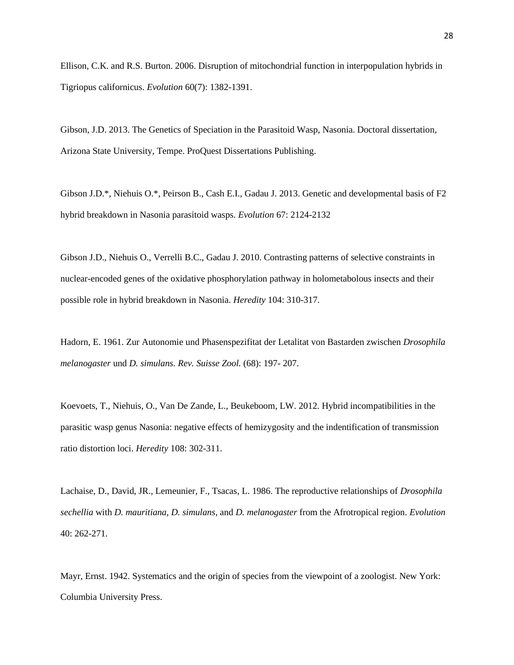Ellison, C.K. and R.S. Burton. 2006. Disruption of mitochondrial function in interpopulation hybrids in Tigriopus californicus. *Evolution* 60(7): 1382-1391.

Gibson, J.D. 2013. The Genetics of Speciation in the Parasitoid Wasp, Nasonia. Doctoral dissertation, Arizona State University, Tempe. ProQuest Dissertations Publishing.

Gibson J.D.\*, Niehuis O.\*, Peirson B., Cash E.I., Gadau J. 2013. Genetic and developmental basis of F2 hybrid breakdown in Nasonia parasitoid wasps. *Evolution* 67: 2124-2132

Gibson J.D., Niehuis O., Verrelli B.C., Gadau J. 2010. Contrasting patterns of selective constraints in nuclear-encoded genes of the oxidative phosphorylation pathway in holometabolous insects and their possible role in hybrid breakdown in Nasonia. *Heredity* 104: 310-317.

Hadorn, E. 1961. Zur Autonomie und Phasenspezifitat der Letalitat von Bastarden zwischen *Drosophila melanogaster* und *D. simulans. Rev. Suisse Zool.* (68): 197- 207.

Koevoets, T., Niehuis, O., Van De Zande, L., Beukeboom, LW. 2012. Hybrid incompatibilities in the parasitic wasp genus Nasonia: negative effects of hemizygosity and the indentification of transmission ratio distortion loci. *Heredity* 108: 302-311.

Lachaise, D., David, JR., Lemeunier, F., Tsacas, L. 1986. The reproductive relationships of *Drosophila sechellia* with *D. mauritiana, D. simulans,* and *D. melanogaster* from the Afrotropical region. *Evolution* 40: 262-271.

Mayr, Ernst. 1942. Systematics and the origin of species from the viewpoint of a zoologist. New York: Columbia University Press.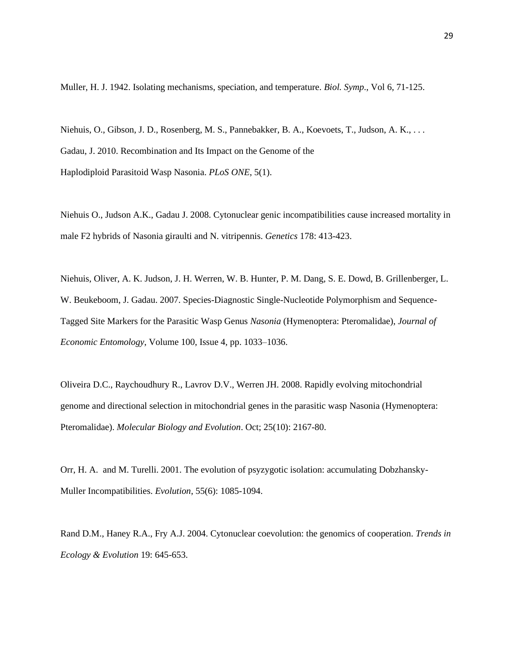Muller, H. J. 1942. Isolating mechanisms, speciation, and temperature. *Biol. Symp*., Vol 6, 71-125.

Niehuis, O., Gibson, J. D., Rosenberg, M. S., Pannebakker, B. A., Koevoets, T., Judson, A. K., . . . Gadau, J. 2010. Recombination and Its Impact on the Genome of the Haplodiploid Parasitoid Wasp Nasonia. *PLoS ONE*, 5(1).

Niehuis O., Judson A.K., Gadau J. 2008. Cytonuclear genic incompatibilities cause increased mortality in male F2 hybrids of Nasonia giraulti and N. vitripennis. *Genetics* 178: 413-423.

Niehuis, Oliver, A. K. Judson, J. H. Werren, W. B. Hunter, P. M. Dang, S. E. Dowd, B. Grillenberger, L. W. Beukeboom, J. Gadau. 2007. Species-Diagnostic Single-Nucleotide Polymorphism and Sequence-Tagged Site Markers for the Parasitic Wasp Genus *Nasonia* (Hymenoptera: Pteromalidae), *Journal of Economic Entomology*, Volume 100, Issue 4, pp. 1033–1036.

Oliveira D.C., Raychoudhury R., Lavrov D.V., Werren JH. 2008. Rapidly evolving mitochondrial genome and directional selection in mitochondrial genes in the parasitic wasp Nasonia (Hymenoptera: Pteromalidae). *Molecular Biology and Evolution*. Oct; 25(10): 2167-80.

Orr, H. A. and M. Turelli. 2001. The evolution of psyzygotic isolation: accumulating Dobzhansky-Muller Incompatibilities. *Evolution*, 55(6): 1085-1094.

Rand D.M., Haney R.A., Fry A.J. 2004. Cytonuclear coevolution: the genomics of cooperation. *Trends in Ecology & Evolution* 19: 645-653.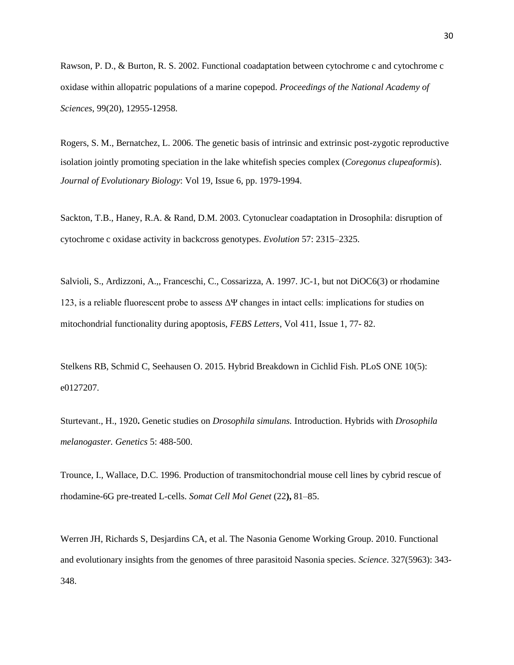Rawson, P. D., & Burton, R. S. 2002. Functional coadaptation between cytochrome c and cytochrome c oxidase within allopatric populations of a marine copepod. *Proceedings of the National Academy of Sciences*, 99(20), 12955-12958.

Rogers, S. M., Bernatchez, L. 2006. The genetic basis of intrinsic and extrinsic post-zygotic reproductive isolation jointly promoting speciation in the lake whitefish species complex (*Coregonus clupeaformis*). *Journal of Evolutionary Biology*: Vol 19, Issue 6, pp. 1979-1994.

Sackton, T.B., Haney, R.A. & Rand, D.M. 2003. Cytonuclear coadaptation in Drosophila: disruption of cytochrome c oxidase activity in backcross genotypes. *Evolution* 57: 2315–2325.

Salvioli, S., Ardizzoni, A.,, Franceschi, C., Cossarizza, A. 1997. JC-1, but not DiOC6(3) or rhodamine 123, is a reliable fluorescent probe to assess  $\Delta \Psi$  changes in intact cells: implications for studies on mitochondrial functionality during apoptosis, *FEBS Letters*, Vol 411, Issue 1, 77- 82.

Stelkens RB, Schmid C, Seehausen O. 2015. Hybrid Breakdown in Cichlid Fish. PLoS ONE 10(5): e0127207.

Sturtevant., H., 1920**.** Genetic studies on *Drosophila simulans.* Introduction. Hybrids with *Drosophila melanogaster. Genetics* 5: 488-500.

Trounce, I., Wallace, D.C. 1996. Production of transmitochondrial mouse cell lines by cybrid rescue of rhodamine-6G pre-treated L-cells. *Somat Cell Mol Genet* (22**),** 81–85.

Werren JH, Richards S, Desjardins CA, et al. The Nasonia Genome Working Group. 2010. Functional and evolutionary insights from the genomes of three parasitoid Nasonia species. *Science*. 327(5963): 343- 348.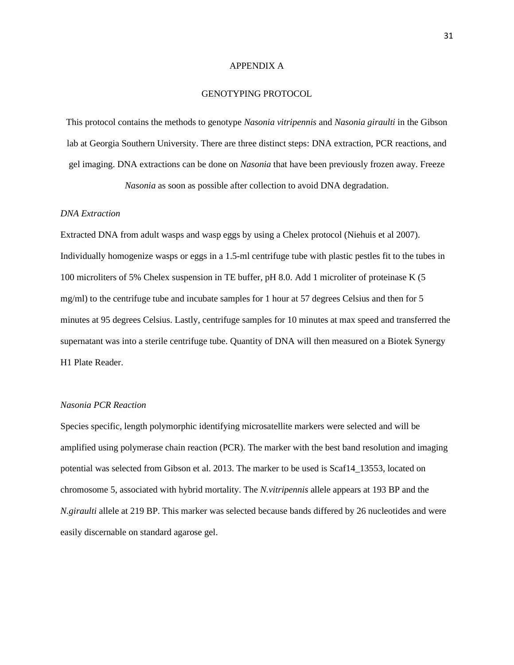#### APPENDIX A

## GENOTYPING PROTOCOL

This protocol contains the methods to genotype *Nasonia vitripennis* and *Nasonia giraulti* in the Gibson lab at Georgia Southern University. There are three distinct steps: DNA extraction, PCR reactions, and gel imaging. DNA extractions can be done on *Nasonia* that have been previously frozen away. Freeze

*Nasonia* as soon as possible after collection to avoid DNA degradation.

## *DNA Extraction*

Extracted DNA from adult wasps and wasp eggs by using a Chelex protocol (Niehuis et al 2007). Individually homogenize wasps or eggs in a 1.5-ml centrifuge tube with plastic pestles fit to the tubes in 100 microliters of 5% Chelex suspension in TE buffer, pH 8.0. Add 1 microliter of proteinase K (5 mg/ml) to the centrifuge tube and incubate samples for 1 hour at 57 degrees Celsius and then for 5 minutes at 95 degrees Celsius. Lastly, centrifuge samples for 10 minutes at max speed and transferred the supernatant was into a sterile centrifuge tube. Quantity of DNA will then measured on a Biotek Synergy H1 Plate Reader.

#### *Nasonia PCR Reaction*

Species specific, length polymorphic identifying microsatellite markers were selected and will be amplified using polymerase chain reaction (PCR). The marker with the best band resolution and imaging potential was selected from Gibson et al. 2013. The marker to be used is Scaf14\_13553, located on chromosome 5, associated with hybrid mortality. The *N.vitripennis* allele appears at 193 BP and the *N.giraulti* allele at 219 BP. This marker was selected because bands differed by 26 nucleotides and were easily discernable on standard agarose gel.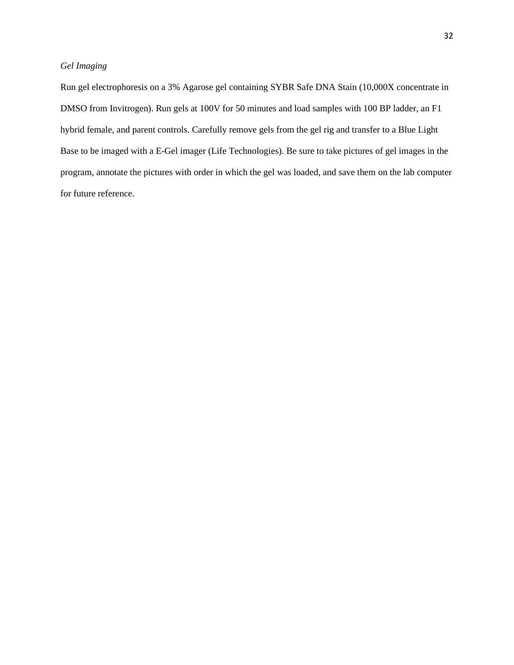# *Gel Imaging*

Run gel electrophoresis on a 3% Agarose gel containing SYBR Safe DNA Stain (10,000X concentrate in DMSO from Invitrogen). Run gels at 100V for 50 minutes and load samples with 100 BP ladder, an F1 hybrid female, and parent controls. Carefully remove gels from the gel rig and transfer to a Blue Light Base to be imaged with a E-Gel imager (Life Technologies). Be sure to take pictures of gel images in the program, annotate the pictures with order in which the gel was loaded, and save them on the lab computer for future reference.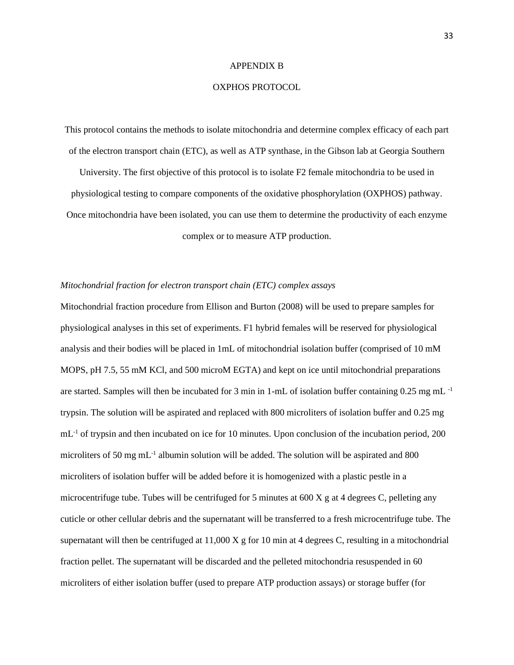#### APPENDIX B

## OXPHOS PROTOCOL

This protocol contains the methods to isolate mitochondria and determine complex efficacy of each part of the electron transport chain (ETC), as well as ATP synthase, in the Gibson lab at Georgia Southern

University. The first objective of this protocol is to isolate F2 female mitochondria to be used in physiological testing to compare components of the oxidative phosphorylation (OXPHOS) pathway. Once mitochondria have been isolated, you can use them to determine the productivity of each enzyme complex or to measure ATP production.

#### *Mitochondrial fraction for electron transport chain (ETC) complex assays*

Mitochondrial fraction procedure from Ellison and Burton (2008) will be used to prepare samples for physiological analyses in this set of experiments. F1 hybrid females will be reserved for physiological analysis and their bodies will be placed in 1mL of mitochondrial isolation buffer (comprised of 10 mM MOPS, pH 7.5, 55 mM KCl, and 500 microM EGTA) and kept on ice until mitochondrial preparations are started. Samples will then be incubated for 3 min in 1-mL of isolation buffer containing 0.25 mg mL $^{-1}$ trypsin. The solution will be aspirated and replaced with 800 microliters of isolation buffer and 0.25 mg  $mL<sup>-1</sup>$  of trypsin and then incubated on ice for 10 minutes. Upon conclusion of the incubation period, 200 microliters of 50 mg mL<sup>-1</sup> albumin solution will be added. The solution will be aspirated and 800 microliters of isolation buffer will be added before it is homogenized with a plastic pestle in a microcentrifuge tube. Tubes will be centrifuged for 5 minutes at 600 X g at 4 degrees C, pelleting any cuticle or other cellular debris and the supernatant will be transferred to a fresh microcentrifuge tube. The supernatant will then be centrifuged at 11,000 X g for 10 min at 4 degrees C, resulting in a mitochondrial fraction pellet. The supernatant will be discarded and the pelleted mitochondria resuspended in 60 microliters of either isolation buffer (used to prepare ATP production assays) or storage buffer (for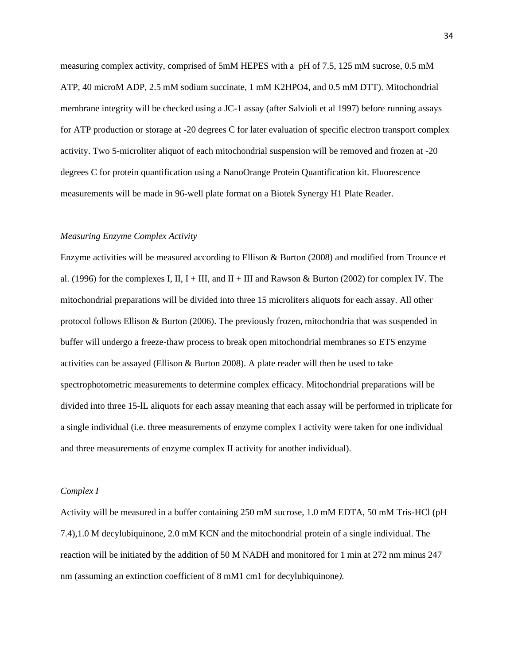measuring complex activity, comprised of 5mM HEPES with a pH of 7.5, 125 mM sucrose, 0.5 mM ATP, 40 microM ADP, 2.5 mM sodium succinate, 1 mM K2HPO4, and 0.5 mM DTT). Mitochondrial membrane integrity will be checked using a JC-1 assay (after Salvioli et al 1997) before running assays for ATP production or storage at -20 degrees C for later evaluation of specific electron transport complex activity. Two 5-microliter aliquot of each mitochondrial suspension will be removed and frozen at -20 degrees C for protein quantification using a NanoOrange Protein Quantification kit. Fluorescence measurements will be made in 96-well plate format on a Biotek Synergy H1 Plate Reader.

## *Measuring Enzyme Complex Activity*

Enzyme activities will be measured according to Ellison & Burton (2008) and modified from Trounce et al. (1996) for the complexes I, II, I + III, and II + III and Rawson & Burton (2002) for complex IV. The mitochondrial preparations will be divided into three 15 microliters aliquots for each assay. All other protocol follows Ellison & Burton (2006). The previously frozen, mitochondria that was suspended in buffer will undergo a freeze-thaw process to break open mitochondrial membranes so ETS enzyme activities can be assayed (Ellison & Burton 2008). A plate reader will then be used to take spectrophotometric measurements to determine complex efficacy. Mitochondrial preparations will be divided into three 15-lL aliquots for each assay meaning that each assay will be performed in triplicate for a single individual (i.e. three measurements of enzyme complex I activity were taken for one individual and three measurements of enzyme complex II activity for another individual).

#### *Complex I*

Activity will be measured in a buffer containing 250 mM sucrose, 1.0 mM EDTA, 50 mM Tris-HCl (pH 7.4),1.0 M decylubiquinone, 2.0 mM KCN and the mitochondrial protein of a single individual. The reaction will be initiated by the addition of 50 M NADH and monitored for 1 min at 272 nm minus 247 nm (assuming an extinction coefficient of 8 mM1 cm1 for decylubiquinone*).*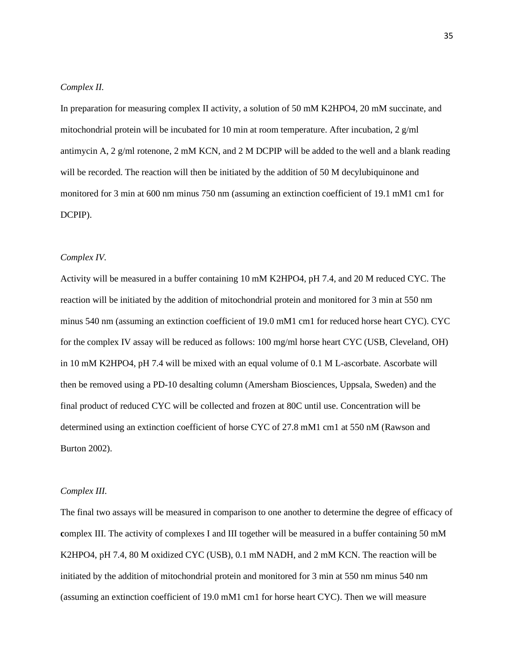### *Complex II.*

In preparation for measuring complex II activity, a solution of 50 mM K2HPO4, 20 mM succinate, and mitochondrial protein will be incubated for 10 min at room temperature. After incubation, 2  $g/ml$ antimycin A, 2 g/ml rotenone, 2 mM KCN, and 2 M DCPIP will be added to the well and a blank reading will be recorded. The reaction will then be initiated by the addition of 50 M decylubiquinone and monitored for 3 min at 600 nm minus 750 nm (assuming an extinction coefficient of 19.1 mM1 cm1 for DCPIP).

#### *Complex IV.*

Activity will be measured in a buffer containing 10 mM K2HPO4, pH 7.4, and 20 M reduced CYC. The reaction will be initiated by the addition of mitochondrial protein and monitored for 3 min at 550 nm minus 540 nm (assuming an extinction coefficient of 19.0 mM1 cm1 for reduced horse heart CYC). CYC for the complex IV assay will be reduced as follows: 100 mg/ml horse heart CYC (USB, Cleveland, OH) in 10 mM K2HPO4, pH 7.4 will be mixed with an equal volume of 0.1 M L-ascorbate. Ascorbate will then be removed using a PD-10 desalting column (Amersham Biosciences, Uppsala, Sweden) and the final product of reduced CYC will be collected and frozen at 80C until use. Concentration will be determined using an extinction coefficient of horse CYC of 27.8 mM1 cm1 at 550 nM (Rawson and Burton 2002).

#### *Complex III.*

The final two assays will be measured in comparison to one another to determine the degree of efficacy of **c**omplex III. The activity of complexes I and III together will be measured in a buffer containing 50 mM K2HPO4, pH 7.4, 80 M oxidized CYC (USB), 0.1 mM NADH, and 2 mM KCN. The reaction will be initiated by the addition of mitochondrial protein and monitored for 3 min at 550 nm minus 540 nm (assuming an extinction coefficient of 19.0 mM1 cm1 for horse heart CYC). Then we will measure